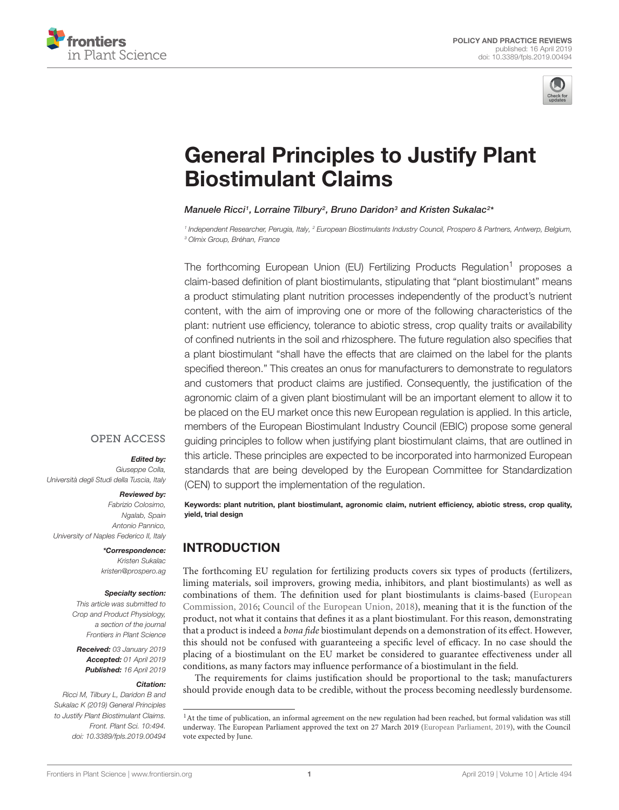



# [General Principles to Justify Plant](https://www.frontiersin.org/articles/10.3389/fpls.2019.00494/full) Biostimulant Claims

[Manuele Ricci](http://loop.frontiersin.org/people/665254/overview)1, [Lorraine Tilbury](http://loop.frontiersin.org/people/702352/overview)<sup>2</sup>, [Bruno Daridon](http://loop.frontiersin.org/people/694942/overview)<sup>3</sup> and [Kristen Sukalac](http://loop.frontiersin.org/people/660188/overview)<sup>2</sup>\*

<sup>1</sup> Independent Researcher, Perugia, Italy, <sup>2</sup> European Biostimulants Industry Council, Prospero & Partners, Antwerp, Belgium, <sup>3</sup> Olmix Group, Bréhan, France

The forthcoming European Union (EU) Fertilizing Products Regulation<sup>1</sup> proposes a claim-based definition of plant biostimulants, stipulating that "plant biostimulant" means a product stimulating plant nutrition processes independently of the product's nutrient content, with the aim of improving one or more of the following characteristics of the plant: nutrient use efficiency, tolerance to abiotic stress, crop quality traits or availability of confined nutrients in the soil and rhizosphere. The future regulation also specifies that a plant biostimulant "shall have the effects that are claimed on the label for the plants specified thereon." This creates an onus for manufacturers to demonstrate to regulators and customers that product claims are justified. Consequently, the justification of the agronomic claim of a given plant biostimulant will be an important element to allow it to be placed on the EU market once this new European regulation is applied. In this article, members of the European Biostimulant Industry Council (EBIC) propose some general guiding principles to follow when justifying plant biostimulant claims, that are outlined in this article. These principles are expected to be incorporated into harmonized European standards that are being developed by the European Committee for Standardization (CEN) to support the implementation of the regulation.

### **OPEN ACCESS**

#### Edited by:

Giuseppe Colla, Università degli Studi della Tuscia, Italy

#### Reviewed by:

Fabrizio Colosimo, Ngalab, Spain Antonio Pannico, University of Naples Federico II, Italy

#### \*Correspondence:

Kristen Sukalac kristen@prospero.ag

#### Specialty section:

This article was submitted to Crop and Product Physiology, a section of the journal Frontiers in Plant Science

Received: 03 January 2019 Accepted: 01 April 2019 Published: 16 April 2019

#### Citation:

Ricci M, Tilbury L, Daridon B and Sukalac K (2019) General Principles to Justify Plant Biostimulant Claims. Front. Plant Sci. 10:494. doi: [10.3389/fpls.2019.00494](https://doi.org/10.3389/fpls.2019.00494)

Keywords: plant nutrition, plant biostimulant, agronomic claim, nutrient efficiency, abiotic stress, crop quality, yield, trial design

# INTRODUCTION

The forthcoming EU regulation for fertilizing products covers six types of products (fertilizers, liming materials, soil improvers, growing media, inhibitors, and plant biostimulants) as well as combinations of them. The definition used for plant biostimulants is claims-based [\(European](#page-7-0) [Commission,](#page-7-0) [2016;](#page-7-0) [Council of the European Union,](#page-7-1) [2018\)](#page-7-1), meaning that it is the function of the product, not what it contains that defines it as a plant biostimulant. For this reason, demonstrating that a product is indeed a *bona fide* biostimulant depends on a demonstration of its effect. However, this should not be confused with guaranteeing a specific level of efficacy. In no case should the placing of a biostimulant on the EU market be considered to guarantee effectiveness under all conditions, as many factors may influence performance of a biostimulant in the field.

The requirements for claims justification should be proportional to the task; manufacturers should provide enough data to be credible, without the process becoming needlessly burdensome.

<sup>&</sup>lt;sup>1</sup> At the time of publication, an informal agreement on the new regulation had been reached, but formal validation was still underway. The European Parliament approved the text on 27 March 2019 [\(European Parliament,](#page-7-2) [2019\)](#page-7-2), with the Council vote expected by June.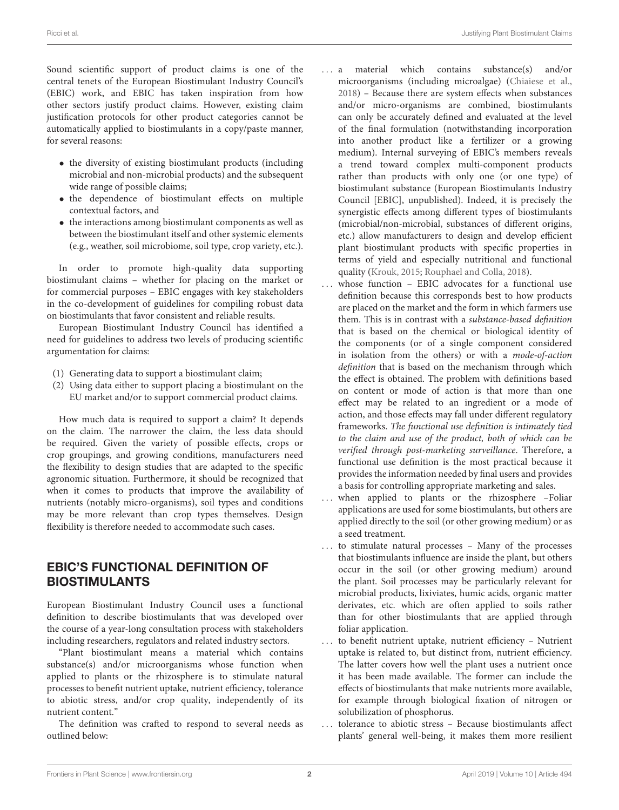Sound scientific support of product claims is one of the central tenets of the European Biostimulant Industry Council's (EBIC) work, and EBIC has taken inspiration from how other sectors justify product claims. However, existing claim justification protocols for other product categories cannot be automatically applied to biostimulants in a copy/paste manner, for several reasons:

- the diversity of existing biostimulant products (including microbial and non-microbial products) and the subsequent wide range of possible claims;
- the dependence of biostimulant effects on multiple contextual factors, and
- the interactions among biostimulant components as well as between the biostimulant itself and other systemic elements (e.g., weather, soil microbiome, soil type, crop variety, etc.).

In order to promote high-quality data supporting biostimulant claims – whether for placing on the market or for commercial purposes – EBIC engages with key stakeholders in the co-development of guidelines for compiling robust data on biostimulants that favor consistent and reliable results.

European Biostimulant Industry Council has identified a need for guidelines to address two levels of producing scientific argumentation for claims:

- (1) Generating data to support a biostimulant claim;
- (2) Using data either to support placing a biostimulant on the EU market and/or to support commercial product claims.

How much data is required to support a claim? It depends on the claim. The narrower the claim, the less data should be required. Given the variety of possible effects, crops or crop groupings, and growing conditions, manufacturers need the flexibility to design studies that are adapted to the specific agronomic situation. Furthermore, it should be recognized that when it comes to products that improve the availability of nutrients (notably micro-organisms), soil types and conditions may be more relevant than crop types themselves. Design flexibility is therefore needed to accommodate such cases.

# EBIC'S FUNCTIONAL DEFINITION OF BIOSTIMULANTS

European Biostimulant Industry Council uses a functional definition to describe biostimulants that was developed over the course of a year-long consultation process with stakeholders including researchers, regulators and related industry sectors.

"Plant biostimulant means a material which contains substance(s) and/or microorganisms whose function when applied to plants or the rhizosphere is to stimulate natural processes to benefit nutrient uptake, nutrient efficiency, tolerance to abiotic stress, and/or crop quality, independently of its nutrient content."

The definition was crafted to respond to several needs as outlined below:

- . . . a material which contains substance(s) and/or microorganisms (including microalgae) [\(Chiaiese et al.,](#page-7-3) [2018\)](#page-7-3) – Because there are system effects when substances and/or micro-organisms are combined, biostimulants can only be accurately defined and evaluated at the level of the final formulation (notwithstanding incorporation into another product like a fertilizer or a growing medium). Internal surveying of EBIC's members reveals a trend toward complex multi-component products rather than products with only one (or one type) of biostimulant substance (European Biostimulants Industry Council [EBIC], unpublished). Indeed, it is precisely the synergistic effects among different types of biostimulants (microbial/non-microbial, substances of different origins, etc.) allow manufacturers to design and develop efficient plant biostimulant products with specific properties in terms of yield and especially nutritional and functional quality [\(Krouk,](#page-7-4) [2015;](#page-7-4) [Rouphael and Colla,](#page-7-5) [2018\)](#page-7-5).
- whose function  $-$  EBIC advocates for a functional use definition because this corresponds best to how products are placed on the market and the form in which farmers use them. This is in contrast with a substance-based definition that is based on the chemical or biological identity of the components (or of a single component considered in isolation from the others) or with a mode-of-action definition that is based on the mechanism through which the effect is obtained. The problem with definitions based on content or mode of action is that more than one effect may be related to an ingredient or a mode of action, and those effects may fall under different regulatory frameworks. The functional use definition is intimately tied to the claim and use of the product, both of which can be verified through post-marketing surveillance. Therefore, a functional use definition is the most practical because it provides the information needed by final users and provides a basis for controlling appropriate marketing and sales.
- ... when applied to plants or the rhizosphere -Foliar applications are used for some biostimulants, but others are applied directly to the soil (or other growing medium) or as a seed treatment.
- . . . to stimulate natural processes Many of the processes that biostimulants influence are inside the plant, but others occur in the soil (or other growing medium) around the plant. Soil processes may be particularly relevant for microbial products, lixiviates, humic acids, organic matter derivates, etc. which are often applied to soils rather than for other biostimulants that are applied through foliar application.
- . . . to benefit nutrient uptake, nutrient efficiency Nutrient uptake is related to, but distinct from, nutrient efficiency. The latter covers how well the plant uses a nutrient once it has been made available. The former can include the effects of biostimulants that make nutrients more available, for example through biological fixation of nitrogen or solubilization of phosphorus.
- . . . tolerance to abiotic stress Because biostimulants affect plants' general well-being, it makes them more resilient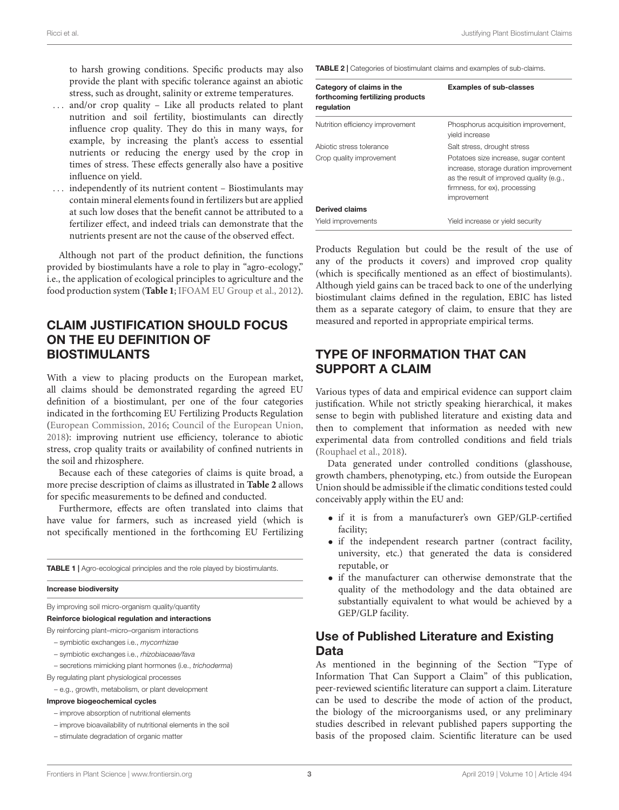to harsh growing conditions. Specific products may also provide the plant with specific tolerance against an abiotic stress, such as drought, salinity or extreme temperatures.

- and/or crop quality  $-$  Like all products related to plant nutrition and soil fertility, biostimulants can directly influence crop quality. They do this in many ways, for example, by increasing the plant's access to essential nutrients or reducing the energy used by the crop in times of stress. These effects generally also have a positive influence on yield.
- . . . independently of its nutrient content Biostimulants may contain mineral elements found in fertilizers but are applied at such low doses that the benefit cannot be attributed to a fertilizer effect, and indeed trials can demonstrate that the nutrients present are not the cause of the observed effect.

Although not part of the product definition, the functions provided by biostimulants have a role to play in "agro-ecology," i.e., the application of ecological principles to agriculture and the food production system (**[Table 1](#page-2-0)**; [IFOAM EU Group et al.,](#page-7-6) [2012\)](#page-7-6).

# CLAIM JUSTIFICATION SHOULD FOCUS ON THE EU DEFINITION OF BIOSTIMULANTS

With a view to placing products on the European market, all claims should be demonstrated regarding the agreed EU definition of a biostimulant, per one of the four categories indicated in the forthcoming EU Fertilizing Products Regulation [\(European Commission,](#page-7-0) [2016;](#page-7-0) [Council of the European Union,](#page-7-1) [2018\)](#page-7-1): improving nutrient use efficiency, tolerance to abiotic stress, crop quality traits or availability of confined nutrients in the soil and rhizosphere.

Because each of these categories of claims is quite broad, a more precise description of claims as illustrated in **[Table 2](#page-2-1)** allows for specific measurements to be defined and conducted.

Furthermore, effects are often translated into claims that have value for farmers, such as increased yield (which is not specifically mentioned in the forthcoming EU Fertilizing

<span id="page-2-0"></span>**TABLE 1** | Agro-ecological principles and the role played by biostimulants.

#### Increase biodiversity

By improving soil micro-organism quality/quantity

#### Reinforce biological regulation and interactions

By reinforcing plant–micro–organism interactions

- symbiotic exchanges i.e., mycorrhizae
- symbiotic exchanges i.e., rhizobiaceae/fava
- secretions mimicking plant hormones (i.e., trichoderma)

By regulating plant physiological processes

- e.g., growth, metabolism, or plant development
- Improve biogeochemical cycles
	- improve absorption of nutritional elements
	- improve bioavailability of nutritional elements in the soil
	- stimulate degradation of organic matter

<span id="page-2-1"></span>TABLE 2 | Categories of biostimulant claims and examples of sub-claims.

| Category of claims in the<br>forthcoming fertilizing products<br>regulation | <b>Examples of sub-classes</b>                                                                                                                                              |
|-----------------------------------------------------------------------------|-----------------------------------------------------------------------------------------------------------------------------------------------------------------------------|
| Nutrition efficiency improvement                                            | Phosphorus acquisition improvement,<br>vield increase                                                                                                                       |
| Abiotic stress tolerance                                                    | Salt stress, drought stress                                                                                                                                                 |
| Crop quality improvement                                                    | Potatoes size increase, sugar content<br>increase, storage duration improvement<br>as the result of improved quality (e.g.,<br>firmness, for ex), processing<br>improvement |
| Derived claims                                                              |                                                                                                                                                                             |
| Yield improvements                                                          | Yield increase or yield security                                                                                                                                            |

Products Regulation but could be the result of the use of any of the products it covers) and improved crop quality (which is specifically mentioned as an effect of biostimulants). Although yield gains can be traced back to one of the underlying biostimulant claims defined in the regulation, EBIC has listed them as a separate category of claim, to ensure that they are measured and reported in appropriate empirical terms.

### TYPE OF INFORMATION THAT CAN SUPPORT A CLAIM

Various types of data and empirical evidence can support claim justification. While not strictly speaking hierarchical, it makes sense to begin with published literature and existing data and then to complement that information as needed with new experimental data from controlled conditions and field trials [\(Rouphael et al.,](#page-7-7) [2018\)](#page-7-7).

Data generated under controlled conditions (glasshouse, growth chambers, phenotyping, etc.) from outside the European Union should be admissible if the climatic conditions tested could conceivably apply within the EU and:

- if it is from a manufacturer's own GEP/GLP-certified facility;
- if the independent research partner (contract facility, university, etc.) that generated the data is considered reputable, or
- if the manufacturer can otherwise demonstrate that the quality of the methodology and the data obtained are substantially equivalent to what would be achieved by a GEP/GLP facility.

### Use of Published Literature and Existing Data

As mentioned in the beginning of the Section "Type of Information That Can Support a Claim" of this publication, peer-reviewed scientific literature can support a claim. Literature can be used to describe the mode of action of the product, the biology of the microorganisms used, or any preliminary studies described in relevant published papers supporting the basis of the proposed claim. Scientific literature can be used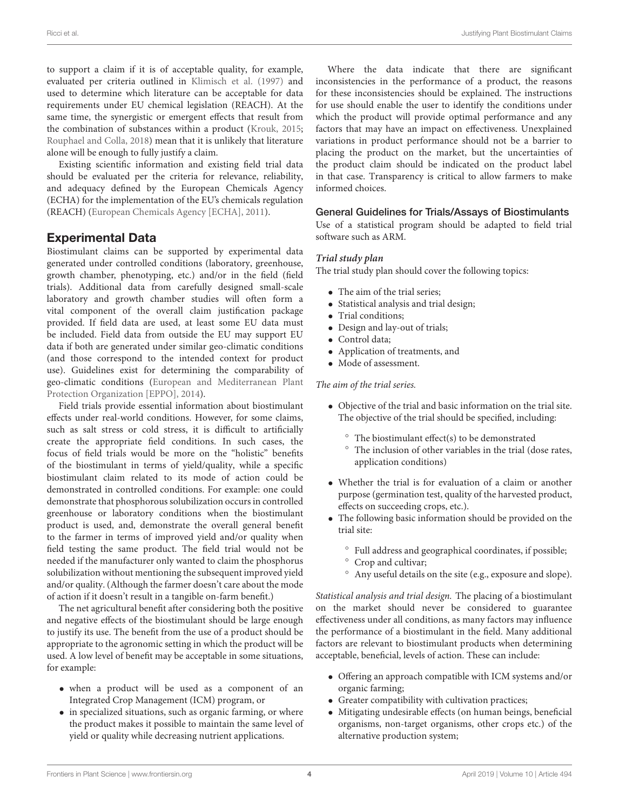to support a claim if it is of acceptable quality, for example, evaluated per criteria outlined in [Klimisch et al.](#page-7-8) [\(1997\)](#page-7-8) and used to determine which literature can be acceptable for data requirements under EU chemical legislation (REACH). At the same time, the synergistic or emergent effects that result from the combination of substances within a product [\(Krouk,](#page-7-4) [2015;](#page-7-4) [Rouphael and Colla,](#page-7-5) [2018\)](#page-7-5) mean that it is unlikely that literature alone will be enough to fully justify a claim.

Existing scientific information and existing field trial data should be evaluated per the criteria for relevance, reliability, and adequacy defined by the European Chemicals Agency (ECHA) for the implementation of the EU's chemicals regulation (REACH) [\(European Chemicals Agency \[ECHA\],](#page-7-9) [2011\)](#page-7-9).

### Experimental Data

Biostimulant claims can be supported by experimental data generated under controlled conditions (laboratory, greenhouse, growth chamber, phenotyping, etc.) and/or in the field (field trials). Additional data from carefully designed small-scale laboratory and growth chamber studies will often form a vital component of the overall claim justification package provided. If field data are used, at least some EU data must be included. Field data from outside the EU may support EU data if both are generated under similar geo-climatic conditions (and those correspond to the intended context for product use). Guidelines exist for determining the comparability of geo-climatic conditions [\(European and Mediterranean Plant](#page-7-10) [Protection Organization \[EPPO\],](#page-7-10) [2014\)](#page-7-10).

Field trials provide essential information about biostimulant effects under real-world conditions. However, for some claims, such as salt stress or cold stress, it is difficult to artificially create the appropriate field conditions. In such cases, the focus of field trials would be more on the "holistic" benefits of the biostimulant in terms of yield/quality, while a specific biostimulant claim related to its mode of action could be demonstrated in controlled conditions. For example: one could demonstrate that phosphorous solubilization occurs in controlled greenhouse or laboratory conditions when the biostimulant product is used, and, demonstrate the overall general benefit to the farmer in terms of improved yield and/or quality when field testing the same product. The field trial would not be needed if the manufacturer only wanted to claim the phosphorus solubilization without mentioning the subsequent improved yield and/or quality. (Although the farmer doesn't care about the mode of action if it doesn't result in a tangible on-farm benefit.)

The net agricultural benefit after considering both the positive and negative effects of the biostimulant should be large enough to justify its use. The benefit from the use of a product should be appropriate to the agronomic setting in which the product will be used. A low level of benefit may be acceptable in some situations, for example:

- when a product will be used as a component of an Integrated Crop Management (ICM) program, or
- in specialized situations, such as organic farming, or where the product makes it possible to maintain the same level of yield or quality while decreasing nutrient applications.

Where the data indicate that there are significant inconsistencies in the performance of a product, the reasons for these inconsistencies should be explained. The instructions for use should enable the user to identify the conditions under which the product will provide optimal performance and any factors that may have an impact on effectiveness. Unexplained variations in product performance should not be a barrier to placing the product on the market, but the uncertainties of the product claim should be indicated on the product label in that case. Transparency is critical to allow farmers to make informed choices.

### General Guidelines for Trials/Assays of Biostimulants

Use of a statistical program should be adapted to field trial software such as ARM.

### **Trial study plan**

The trial study plan should cover the following topics:

- The aim of the trial series;
- Statistical analysis and trial design;
- Trial conditions:
- Design and lay-out of trials;
- Control data;
- Application of treatments, and
- Mode of assessment.

### The aim of the trial series.

- Objective of the trial and basic information on the trial site. The objective of the trial should be specified, including:
	- The biostimulant effect(s) to be demonstrated
	- The inclusion of other variables in the trial (dose rates, application conditions)
- Whether the trial is for evaluation of a claim or another purpose (germination test, quality of the harvested product, effects on succeeding crops, etc.).
- The following basic information should be provided on the trial site:
	- Full address and geographical coordinates, if possible;
	- Crop and cultivar;
	- Any useful details on the site (e.g., exposure and slope).

Statistical analysis and trial design. The placing of a biostimulant on the market should never be considered to guarantee effectiveness under all conditions, as many factors may influence the performance of a biostimulant in the field. Many additional factors are relevant to biostimulant products when determining acceptable, beneficial, levels of action. These can include:

- Offering an approach compatible with ICM systems and/or organic farming;
- Greater compatibility with cultivation practices;
- Mitigating undesirable effects (on human beings, beneficial organisms, non-target organisms, other crops etc.) of the alternative production system;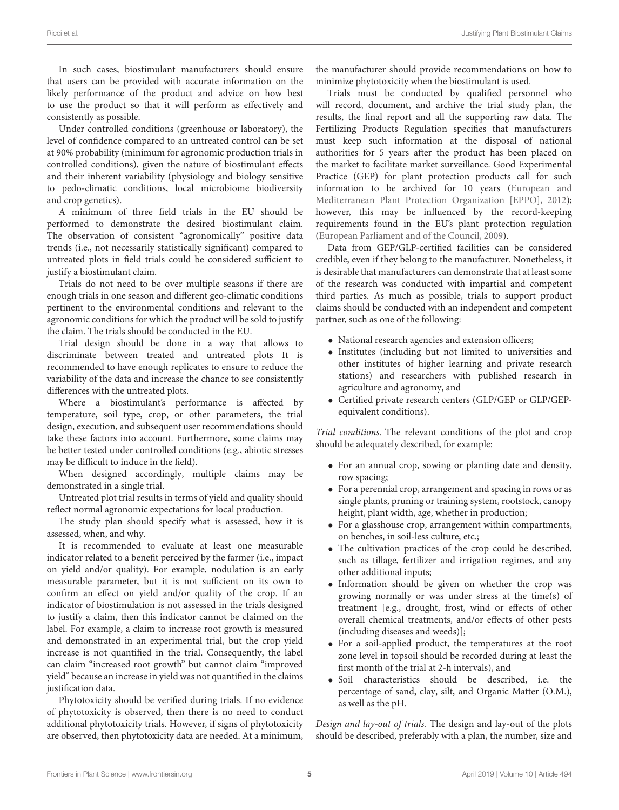In such cases, biostimulant manufacturers should ensure that users can be provided with accurate information on the likely performance of the product and advice on how best to use the product so that it will perform as effectively and consistently as possible.

Under controlled conditions (greenhouse or laboratory), the level of confidence compared to an untreated control can be set at 90% probability (minimum for agronomic production trials in controlled conditions), given the nature of biostimulant effects and their inherent variability (physiology and biology sensitive to pedo-climatic conditions, local microbiome biodiversity and crop genetics).

A minimum of three field trials in the EU should be performed to demonstrate the desired biostimulant claim. The observation of consistent "agronomically" positive data trends (i.e., not necessarily statistically significant) compared to untreated plots in field trials could be considered sufficient to justify a biostimulant claim.

Trials do not need to be over multiple seasons if there are enough trials in one season and different geo-climatic conditions pertinent to the environmental conditions and relevant to the agronomic conditions for which the product will be sold to justify the claim. The trials should be conducted in the EU.

Trial design should be done in a way that allows to discriminate between treated and untreated plots It is recommended to have enough replicates to ensure to reduce the variability of the data and increase the chance to see consistently differences with the untreated plots.

Where a biostimulant's performance is affected by temperature, soil type, crop, or other parameters, the trial design, execution, and subsequent user recommendations should take these factors into account. Furthermore, some claims may be better tested under controlled conditions (e.g., abiotic stresses may be difficult to induce in the field).

When designed accordingly, multiple claims may be demonstrated in a single trial.

Untreated plot trial results in terms of yield and quality should reflect normal agronomic expectations for local production.

The study plan should specify what is assessed, how it is assessed, when, and why.

It is recommended to evaluate at least one measurable indicator related to a benefit perceived by the farmer (i.e., impact on yield and/or quality). For example, nodulation is an early measurable parameter, but it is not sufficient on its own to confirm an effect on yield and/or quality of the crop. If an indicator of biostimulation is not assessed in the trials designed to justify a claim, then this indicator cannot be claimed on the label. For example, a claim to increase root growth is measured and demonstrated in an experimental trial, but the crop yield increase is not quantified in the trial. Consequently, the label can claim "increased root growth" but cannot claim "improved yield" because an increase in yield was not quantified in the claims justification data.

Phytotoxicity should be verified during trials. If no evidence of phytotoxicity is observed, then there is no need to conduct additional phytotoxicity trials. However, if signs of phytotoxicity are observed, then phytotoxicity data are needed. At a minimum,

the manufacturer should provide recommendations on how to minimize phytotoxicity when the biostimulant is used.

Trials must be conducted by qualified personnel who will record, document, and archive the trial study plan, the results, the final report and all the supporting raw data. The Fertilizing Products Regulation specifies that manufacturers must keep such information at the disposal of national authorities for 5 years after the product has been placed on the market to facilitate market surveillance. Good Experimental Practice (GEP) for plant protection products call for such information to be archived for 10 years [\(European and](#page-7-11) [Mediterranean Plant Protection Organization \[EPPO\],](#page-7-11) [2012\)](#page-7-11); however, this may be influenced by the record-keeping requirements found in the EU's plant protection regulation [\(European Parliament and of the Council,](#page-7-12) [2009\)](#page-7-12).

Data from GEP/GLP-certified facilities can be considered credible, even if they belong to the manufacturer. Nonetheless, it is desirable that manufacturers can demonstrate that at least some of the research was conducted with impartial and competent third parties. As much as possible, trials to support product claims should be conducted with an independent and competent partner, such as one of the following:

- National research agencies and extension officers;
- Institutes (including but not limited to universities and other institutes of higher learning and private research stations) and researchers with published research in agriculture and agronomy, and
- Certified private research centers (GLP/GEP or GLP/GEPequivalent conditions).

Trial conditions. The relevant conditions of the plot and crop should be adequately described, for example:

- For an annual crop, sowing or planting date and density, row spacing;
- For a perennial crop, arrangement and spacing in rows or as single plants, pruning or training system, rootstock, canopy height, plant width, age, whether in production;
- For a glasshouse crop, arrangement within compartments, on benches, in soil-less culture, etc.;
- The cultivation practices of the crop could be described, such as tillage, fertilizer and irrigation regimes, and any other additional inputs;
- Information should be given on whether the crop was growing normally or was under stress at the time(s) of treatment [e.g., drought, frost, wind or effects of other overall chemical treatments, and/or effects of other pests (including diseases and weeds)];
- For a soil-applied product, the temperatures at the root zone level in topsoil should be recorded during at least the first month of the trial at 2-h intervals), and
- Soil characteristics should be described, i.e. the percentage of sand, clay, silt, and Organic Matter (O.M.), as well as the pH.

Design and lay-out of trials. The design and lay-out of the plots should be described, preferably with a plan, the number, size and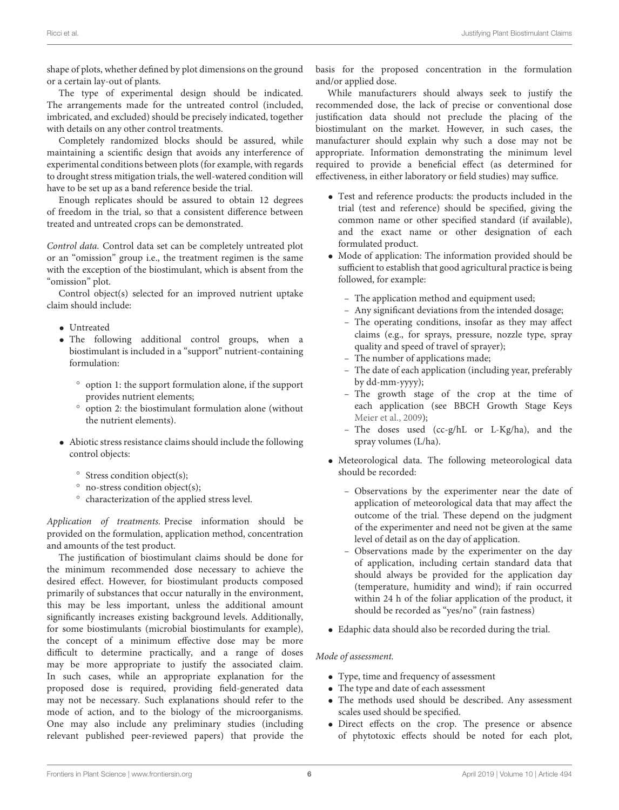shape of plots, whether defined by plot dimensions on the ground or a certain lay-out of plants.

The type of experimental design should be indicated. The arrangements made for the untreated control (included, imbricated, and excluded) should be precisely indicated, together with details on any other control treatments.

Completely randomized blocks should be assured, while maintaining a scientific design that avoids any interference of experimental conditions between plots (for example, with regards to drought stress mitigation trials, the well-watered condition will have to be set up as a band reference beside the trial.

Enough replicates should be assured to obtain 12 degrees of freedom in the trial, so that a consistent difference between treated and untreated crops can be demonstrated.

Control data. Control data set can be completely untreated plot or an "omission" group i.e., the treatment regimen is the same with the exception of the biostimulant, which is absent from the "omission" plot.

Control object(s) selected for an improved nutrient uptake claim should include:

- Untreated
- The following additional control groups, when a biostimulant is included in a "support" nutrient-containing formulation:
	- option 1: the support formulation alone, if the support provides nutrient elements;
	- option 2: the biostimulant formulation alone (without the nutrient elements).
- Abiotic stress resistance claims should include the following control objects:
	- Stress condition object(s);
	- no-stress condition object(s);
	- characterization of the applied stress level.

Application of treatments. Precise information should be provided on the formulation, application method, concentration and amounts of the test product.

The justification of biostimulant claims should be done for the minimum recommended dose necessary to achieve the desired effect. However, for biostimulant products composed primarily of substances that occur naturally in the environment, this may be less important, unless the additional amount significantly increases existing background levels. Additionally, for some biostimulants (microbial biostimulants for example), the concept of a minimum effective dose may be more difficult to determine practically, and a range of doses may be more appropriate to justify the associated claim. In such cases, while an appropriate explanation for the proposed dose is required, providing field-generated data may not be necessary. Such explanations should refer to the mode of action, and to the biology of the microorganisms. One may also include any preliminary studies (including relevant published peer-reviewed papers) that provide the

basis for the proposed concentration in the formulation and/or applied dose.

While manufacturers should always seek to justify the recommended dose, the lack of precise or conventional dose justification data should not preclude the placing of the biostimulant on the market. However, in such cases, the manufacturer should explain why such a dose may not be appropriate. Information demonstrating the minimum level required to provide a beneficial effect (as determined for effectiveness, in either laboratory or field studies) may suffice.

- Test and reference products: the products included in the trial (test and reference) should be specified, giving the common name or other specified standard (if available), and the exact name or other designation of each formulated product.
- Mode of application: The information provided should be sufficient to establish that good agricultural practice is being followed, for example:
	- The application method and equipment used;
	- Any significant deviations from the intended dosage;
	- The operating conditions, insofar as they may affect claims (e.g., for sprays, pressure, nozzle type, spray quality and speed of travel of sprayer);
	- The number of applications made;
	- The date of each application (including year, preferably by dd-mm-yyyy);
	- The growth stage of the crop at the time of each application (see BBCH Growth Stage Keys [Meier et al.,](#page-7-13) [2009\)](#page-7-13);
	- The doses used (cc-g/hL or L-Kg/ha), and the spray volumes (L/ha).
- Meteorological data. The following meteorological data should be recorded:
	- Observations by the experimenter near the date of application of meteorological data that may affect the outcome of the trial. These depend on the judgment of the experimenter and need not be given at the same level of detail as on the day of application.
	- Observations made by the experimenter on the day of application, including certain standard data that should always be provided for the application day (temperature, humidity and wind); if rain occurred within 24 h of the foliar application of the product, it should be recorded as "yes/no" (rain fastness)
- Edaphic data should also be recorded during the trial.

### Mode of assessment.

- Type, time and frequency of assessment
- The type and date of each assessment
- The methods used should be described. Any assessment scales used should be specified.
- Direct effects on the crop. The presence or absence of phytotoxic effects should be noted for each plot,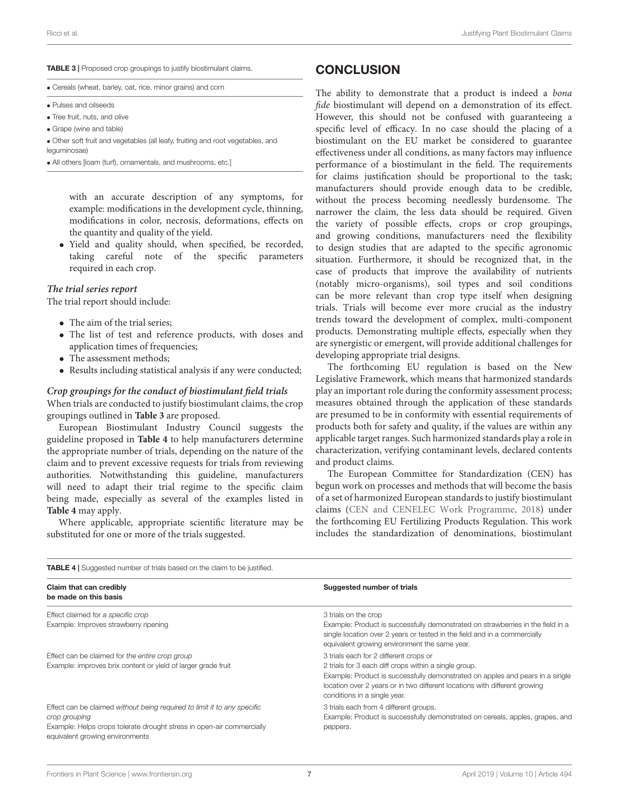#### <span id="page-6-0"></span>TABLE 3 | Proposed crop groupings to justify biostimulant claims.

• Cereals (wheat, barley, oat, rice, minor grains) and corn

- Pulses and oilseeds
- Tree fruit, nuts, and olive
- Grape (wine and table)
- Other soft fruit and vegetables (all leafy, fruiting and root vegetables, and

leguminosae)

• All others [loam (turf), ornamentals, and mushrooms, etc.]

with an accurate description of any symptoms, for example: modifications in the development cycle, thinning, modifications in color, necrosis, deformations, effects on the quantity and quality of the yield.

• Yield and quality should, when specified, be recorded, taking careful note of the specific parameters required in each crop.

#### **The trial series report**

The trial report should include:

- The aim of the trial series;
- The list of test and reference products, with doses and application times of frequencies;
- The assessment methods;
- Results including statistical analysis if any were conducted;

### **Crop groupings for the conduct of biostimulant field trials**

When trials are conducted to justify biostimulant claims, the crop groupings outlined in **[Table 3](#page-6-0)** are proposed.

European Biostimulant Industry Council suggests the guideline proposed in **[Table 4](#page-6-1)** to help manufacturers determine the appropriate number of trials, depending on the nature of the claim and to prevent excessive requests for trials from reviewing authorities. Notwithstanding this guideline, manufacturers will need to adapt their trial regime to the specific claim being made, especially as several of the examples listed in **[Table 4](#page-6-1)** may apply.

Where applicable, appropriate scientific literature may be substituted for one or more of the trials suggested.

<span id="page-6-1"></span>**TABLE 4 | Suggested number of trials based on the claim to be justified.** 

### **CONCLUSION**

The ability to demonstrate that a product is indeed a bona fide biostimulant will depend on a demonstration of its effect. However, this should not be confused with guaranteeing a specific level of efficacy. In no case should the placing of a biostimulant on the EU market be considered to guarantee effectiveness under all conditions, as many factors may influence performance of a biostimulant in the field. The requirements for claims justification should be proportional to the task; manufacturers should provide enough data to be credible, without the process becoming needlessly burdensome. The narrower the claim, the less data should be required. Given the variety of possible effects, crops or crop groupings, and growing conditions, manufacturers need the flexibility to design studies that are adapted to the specific agronomic situation. Furthermore, it should be recognized that, in the case of products that improve the availability of nutrients (notably micro-organisms), soil types and soil conditions can be more relevant than crop type itself when designing trials. Trials will become ever more crucial as the industry trends toward the development of complex, multi-component products. Demonstrating multiple effects, especially when they are synergistic or emergent, will provide additional challenges for developing appropriate trial designs.

The forthcoming EU regulation is based on the New Legislative Framework, which means that harmonized standards play an important role during the conformity assessment process; measures obtained through the application of these standards are presumed to be in conformity with essential requirements of products both for safety and quality, if the values are within any applicable target ranges. Such harmonized standards play a role in characterization, verifying contaminant levels, declared contents and product claims.

The European Committee for Standardization (CEN) has begun work on processes and methods that will become the basis of a set of harmonized European standards to justify biostimulant claims [\(CEN and CENELEC Work Programme,](#page-7-14) [2018\)](#page-7-14) under the forthcoming EU Fertilizing Products Regulation. This work includes the standardization of denominations, biostimulant

| Claim that can credibly<br>be made on this basis                                                         | Suggested number of trials                                                                                                                                                                                                                           |  |
|----------------------------------------------------------------------------------------------------------|------------------------------------------------------------------------------------------------------------------------------------------------------------------------------------------------------------------------------------------------------|--|
| Effect claimed for a specific crop                                                                       | 3 trials on the crop                                                                                                                                                                                                                                 |  |
| Example: Improves strawberry ripening                                                                    | Example: Product is successfully demonstrated on strawberries in the field in a<br>single location over 2 years or tested in the field and in a commercially<br>equivalent growing environment the same year.                                        |  |
| Effect can be claimed for the entire crop group                                                          | 3 trials each for 2 different crops or                                                                                                                                                                                                               |  |
| Example: improves brix content or yield of larger grade fruit                                            | 2 trials for 3 each diff crops within a single group.<br>Example: Product is successfully demonstrated on apples and pears in a single<br>location over 2 years or in two different locations with different growing<br>conditions in a single year. |  |
| Effect can be claimed without being required to limit it to any specific<br>crop grouping                | 3 trials each from 4 different groups.<br>Example: Product is successfully demonstrated on cereals, apples, grapes, and                                                                                                                              |  |
| Example: Helps crops tolerate drought stress in open-air commercially<br>equivalent growing environments | peppers.                                                                                                                                                                                                                                             |  |